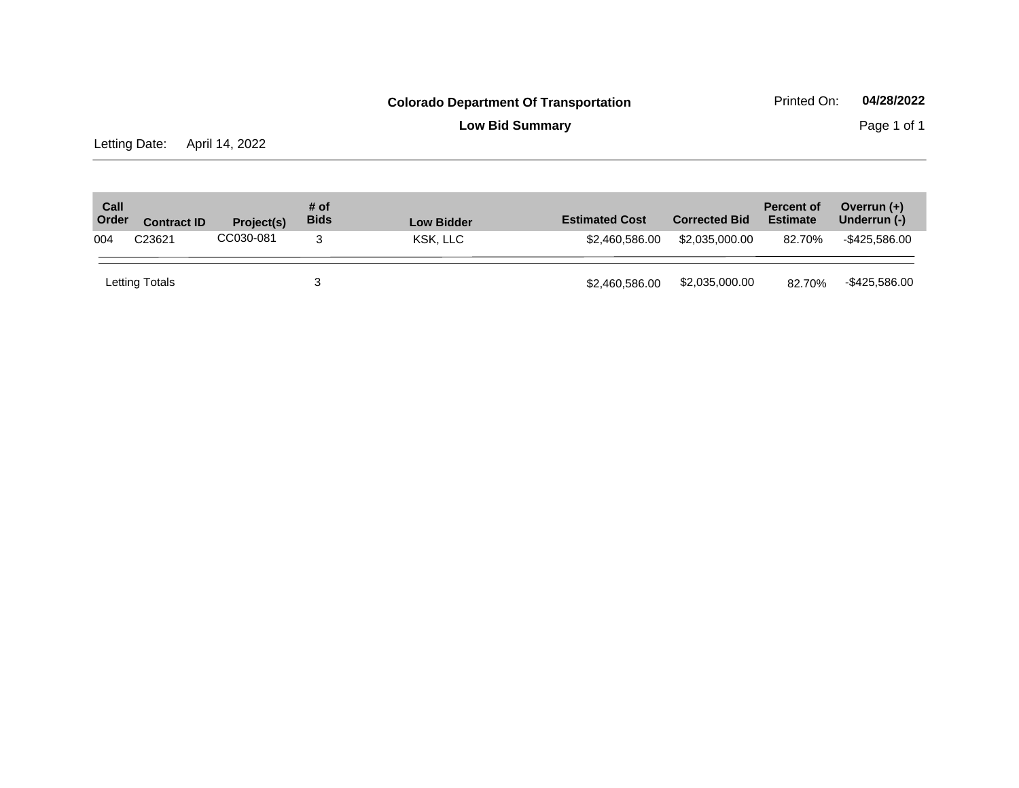**Low Bid Summary** Page 1 of 1

Letting Date: April 14, 2022

| Call<br>Order | <b>Contract ID</b> | <b>Project(s)</b> | # of<br><b>Bids</b> | <b>Low Bidder</b> | <b>Estimated Cost</b> | <b>Corrected Bid</b> | <b>Percent of</b><br><b>Estimate</b> | Overrun $(+)$<br>Underrun (-) |
|---------------|--------------------|-------------------|---------------------|-------------------|-----------------------|----------------------|--------------------------------------|-------------------------------|
| 004           | C23621             | CC030-081         |                     | KSK. LLC          | \$2,460,586.00        | \$2,035,000.00       | 82.70%                               | -\$425.586.00                 |
|               | Letting Totals     |                   |                     |                   | \$2,460,586.00        | \$2,035,000.00       | 82.70%                               | -\$425,586.00                 |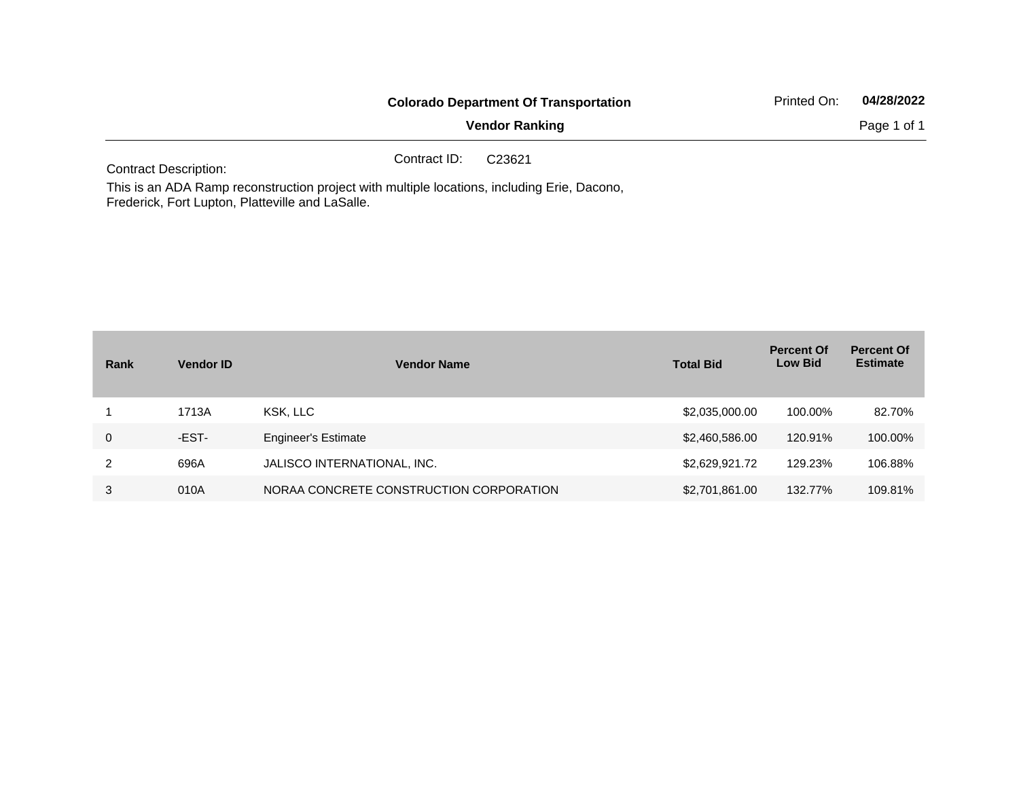| <b>Colorado Department Of Transportation</b> | Printed On: | 04/28/2022  |  |
|----------------------------------------------|-------------|-------------|--|
| <b>Vendor Ranking</b>                        |             | Page 1 of 1 |  |
| Contract ID:<br>C23621                       |             |             |  |

Contract Description:

This is an ADA Ramp reconstruction project with multiple locations, including Erie, Dacono, Frederick, Fort Lupton, Platteville and LaSalle.

| Rank        | <b>Vendor ID</b> | <b>Vendor Name</b>                      | <b>Total Bid</b> | <b>Percent Of</b><br><b>Low Bid</b> | <b>Percent Of</b><br><b>Estimate</b> |
|-------------|------------------|-----------------------------------------|------------------|-------------------------------------|--------------------------------------|
|             | 1713A            | KSK. LLC                                | \$2,035,000.00   | 100.00%                             | 82.70%                               |
| $\mathbf 0$ | -EST-            | <b>Engineer's Estimate</b>              | \$2,460,586.00   | 120.91%                             | 100.00%                              |
| 2           | 696A             | JALISCO INTERNATIONAL, INC.             | \$2,629,921.72   | 129.23%                             | 106.88%                              |
| 3           | 010A             | NORAA CONCRETE CONSTRUCTION CORPORATION | \$2,701,861.00   | 132.77%                             | 109.81%                              |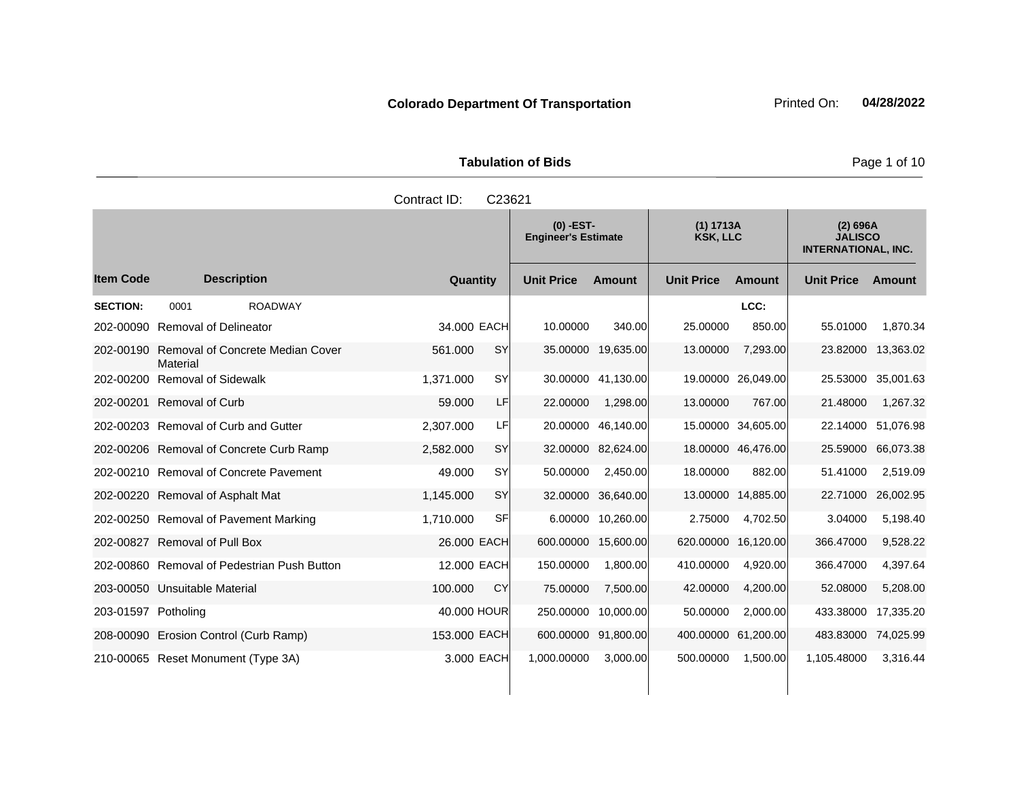**Tabulation of Bids Page 1 of 10** 

|                     |                                              | Contract ID:<br>C23621 |                                           |                    |                              |                    |                                                          |                    |
|---------------------|----------------------------------------------|------------------------|-------------------------------------------|--------------------|------------------------------|--------------------|----------------------------------------------------------|--------------------|
|                     |                                              |                        | $(0)$ -EST-<br><b>Engineer's Estimate</b> |                    | (1) 1713A<br><b>KSK, LLC</b> |                    | (2) 696A<br><b>JALISCO</b><br><b>INTERNATIONAL, INC.</b> |                    |
| <b>Item Code</b>    | <b>Description</b>                           | Quantity               | <b>Unit Price</b>                         | <b>Amount</b>      | <b>Unit Price</b>            | Amount             | <b>Unit Price</b>                                        | Amount             |
| <b>SECTION:</b>     | 0001<br><b>ROADWAY</b>                       |                        |                                           |                    |                              | LCC:               |                                                          |                    |
| 202-00090           | <b>Removal of Delineator</b>                 | 34,000 EACH            | 10.00000                                  | 340.00             | 25.00000                     | 850.00             | 55.01000                                                 | 1.870.34           |
| 202-00190           | Removal of Concrete Median Cover<br>Material | <b>SY</b><br>561.000   |                                           | 35.00000 19,635.00 | 13.00000                     | 7,293.00           | 23.82000                                                 | 13,363.02          |
| 202-00200           | <b>Removal of Sidewalk</b>                   | <b>SY</b><br>1,371.000 | 30.00000                                  | 41,130.00          |                              | 19.00000 26,049.00 | 25.53000                                                 | 35,001.63          |
| 202-00201           | <b>Removal of Curb</b>                       | 59.000<br>LF           | 22.00000                                  | 1,298.00           | 13.00000                     | 767.00             | 21.48000                                                 | 1,267.32           |
|                     | 202-00203 Removal of Curb and Gutter         | 2,307.000<br>LFI       | 20.00000                                  | 46,140.00          |                              | 15.00000 34,605.00 |                                                          | 22.14000 51,076.98 |
|                     | 202-00206 Removal of Concrete Curb Ramp      | 2,582.000<br><b>SY</b> | 32.00000                                  | 82,624.00          |                              | 18.00000 46,476.00 | 25.59000                                                 | 66,073.38          |
|                     | 202-00210 Removal of Concrete Pavement       | <b>SY</b><br>49.000    | 50.00000                                  | 2,450.00           | 18.00000                     | 882.00             | 51.41000                                                 | 2,519.09           |
|                     | 202-00220 Removal of Asphalt Mat             | <b>SY</b><br>1,145.000 | 32.00000                                  | 36,640.00          |                              | 13.00000 14,885.00 | 22.71000                                                 | 26,002.95          |
|                     | 202-00250 Removal of Pavement Marking        | SF<br>1.710.000        |                                           | 6.00000 10,260.00  | 2.75000                      | 4,702.50           | 3.04000                                                  | 5,198.40           |
|                     | 202-00827 Removal of Pull Box                | 26.000 EACH            | 600.00000                                 | 15,600.00          | 620.00000                    | 16,120.00          | 366.47000                                                | 9,528.22           |
|                     | 202-00860 Removal of Pedestrian Push Button  | 12,000 EACH            | 150.00000                                 | 1,800.00           | 410.00000                    | 4,920.00           | 366.47000                                                | 4,397.64           |
|                     | 203-00050 Unsuitable Material                | 100.000<br><b>CY</b>   | 75.00000                                  | 7,500.00           | 42.00000                     | 4,200.00           | 52.08000                                                 | 5,208.00           |
| 203-01597 Potholing |                                              | 40.000 HOUR            | 250.00000                                 | 10,000.00          | 50.00000                     | 2,000.00           | 433.38000                                                | 17,335.20          |
|                     | 208-00090 Erosion Control (Curb Ramp)        | 153.000 EACH           | 600.00000                                 | 91,800.00          | 400.00000 61,200.00          |                    | 483.83000                                                | 74,025.99          |
|                     | 210-00065 Reset Monument (Type 3A)           | 3.000 EACH             | 1,000.00000                               | 3,000.00           | 500.00000                    | 1,500.00           | 1.105.48000                                              | 3,316.44           |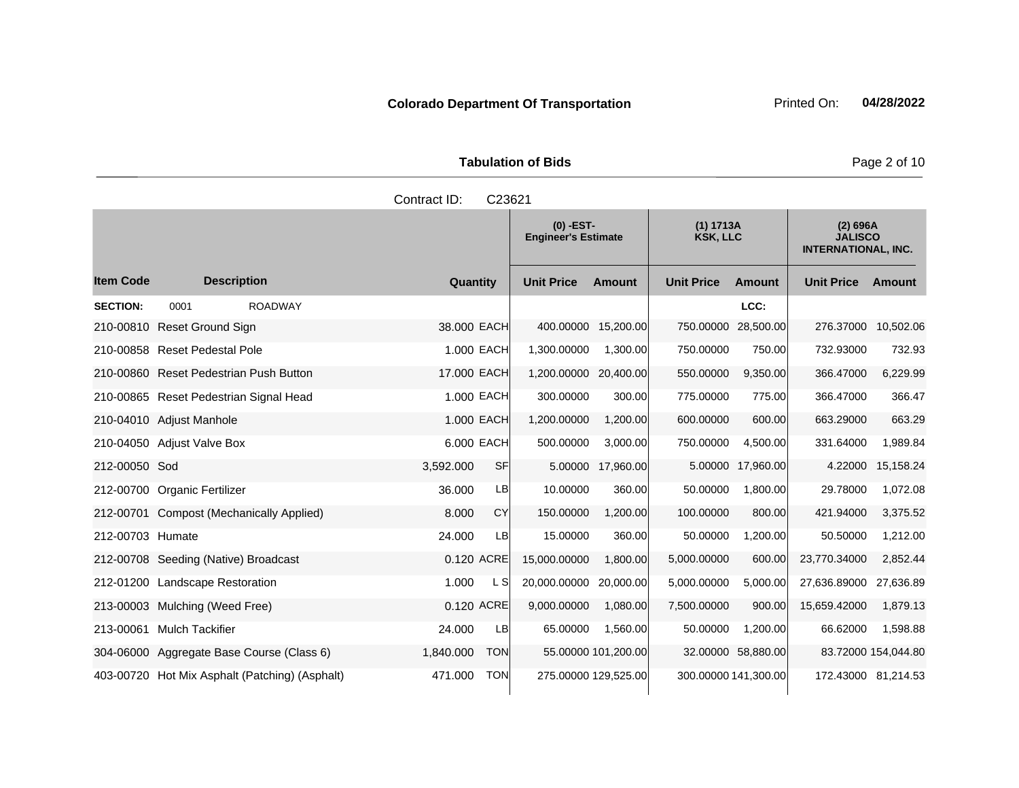**Tabulation of Bids Page 2 of 10** 

|                  |                                                | Contract ID: | C23621     |                                           |                      |                              |                      |                                                          |                     |
|------------------|------------------------------------------------|--------------|------------|-------------------------------------------|----------------------|------------------------------|----------------------|----------------------------------------------------------|---------------------|
|                  |                                                |              |            | $(0)$ -EST-<br><b>Engineer's Estimate</b> |                      | (1) 1713A<br><b>KSK, LLC</b> |                      | (2) 696A<br><b>JALISCO</b><br><b>INTERNATIONAL, INC.</b> |                     |
| <b>Item Code</b> | <b>Description</b>                             | Quantity     |            | <b>Unit Price</b>                         | <b>Amount</b>        | <b>Unit Price</b>            | <b>Amount</b>        | <b>Unit Price</b>                                        | <b>Amount</b>       |
| <b>SECTION:</b>  | <b>ROADWAY</b><br>0001                         |              |            |                                           |                      |                              | LCC:                 |                                                          |                     |
|                  | 210-00810 Reset Ground Sign                    | 38,000 EACH  |            | 400.00000                                 | 15,200.00            | 750.00000                    | 28,500.00            | 276.37000                                                | 10,502.06           |
|                  | 210-00858 Reset Pedestal Pole                  | 1.000 EACH   |            | 1,300.00000                               | 1,300.00             | 750.00000                    | 750.00               | 732.93000                                                | 732.93              |
|                  | 210-00860 Reset Pedestrian Push Button         | 17.000 EACH  |            | 1,200.00000 20,400.00                     |                      | 550.00000                    | 9,350.00             | 366.47000                                                | 6,229.99            |
|                  | 210-00865 Reset Pedestrian Signal Head         | 1.000 EACH   |            | 300.00000                                 | 300.00               | 775.00000                    | 775.00               | 366.47000                                                | 366.47              |
|                  | 210-04010 Adjust Manhole                       | 1.000 EACH   |            | 1,200.00000                               | 1,200.00             | 600.00000                    | 600.00               | 663.29000                                                | 663.29              |
|                  | 210-04050 Adjust Valve Box                     | 6.000 EACH   |            | 500.00000                                 | 3,000.00             | 750.00000                    | 4,500.00             | 331.64000                                                | 1,989.84            |
| 212-00050 Sod    |                                                | 3,592.000    | SF         |                                           | 5.00000 17,960.00    |                              | 5.00000 17,960.00    | 4.22000                                                  | 15,158.24           |
|                  | 212-00700 Organic Fertilizer                   | 36.000       | <b>LB</b>  | 10.00000                                  | 360.00               | 50.00000                     | 1,800.00             | 29.78000                                                 | 1,072.08            |
|                  | 212-00701 Compost (Mechanically Applied)       | 8.000        | CY         | 150.00000                                 | 1,200.00             | 100.00000                    | 800.00               | 421.94000                                                | 3,375.52            |
| 212-00703 Humate |                                                | 24.000       | LB         | 15.00000                                  | 360.00               | 50.00000                     | 1,200.00             | 50.50000                                                 | 1,212.00            |
|                  | 212-00708 Seeding (Native) Broadcast           | 0.120 ACRE   |            | 15,000.00000                              | 1,800.00             | 5,000.00000                  | 600.00               | 23,770.34000                                             | 2,852.44            |
|                  | 212-01200 Landscape Restoration                | 1.000        | L SI       | 20,000.00000                              | 20,000.00            | 5,000.00000                  | 5,000.00             | 27,636.89000                                             | 27,636.89           |
|                  | 213-00003 Mulching (Weed Free)                 | 0.120 ACRE   |            | 9,000.00000                               | 1,080.00             | 7,500.00000                  | 900.00               | 15,659.42000                                             | 1,879.13            |
| 213-00061        | <b>Mulch Tackifier</b>                         | 24.000       | <b>LB</b>  | 65.00000                                  | 1,560.00             | 50.00000                     | 1,200.00             | 66.62000                                                 | 1,598.88            |
|                  | 304-06000 Aggregate Base Course (Class 6)      | 1,840.000    | <b>TON</b> |                                           | 55.00000 101,200.00  |                              | 32.00000 58,880.00   |                                                          | 83.72000 154,044.80 |
|                  | 403-00720 Hot Mix Asphalt (Patching) (Asphalt) | 471.000      | <b>TON</b> |                                           | 275.00000 129,525.00 |                              | 300.00000 141,300.00 |                                                          | 172.43000 81,214.53 |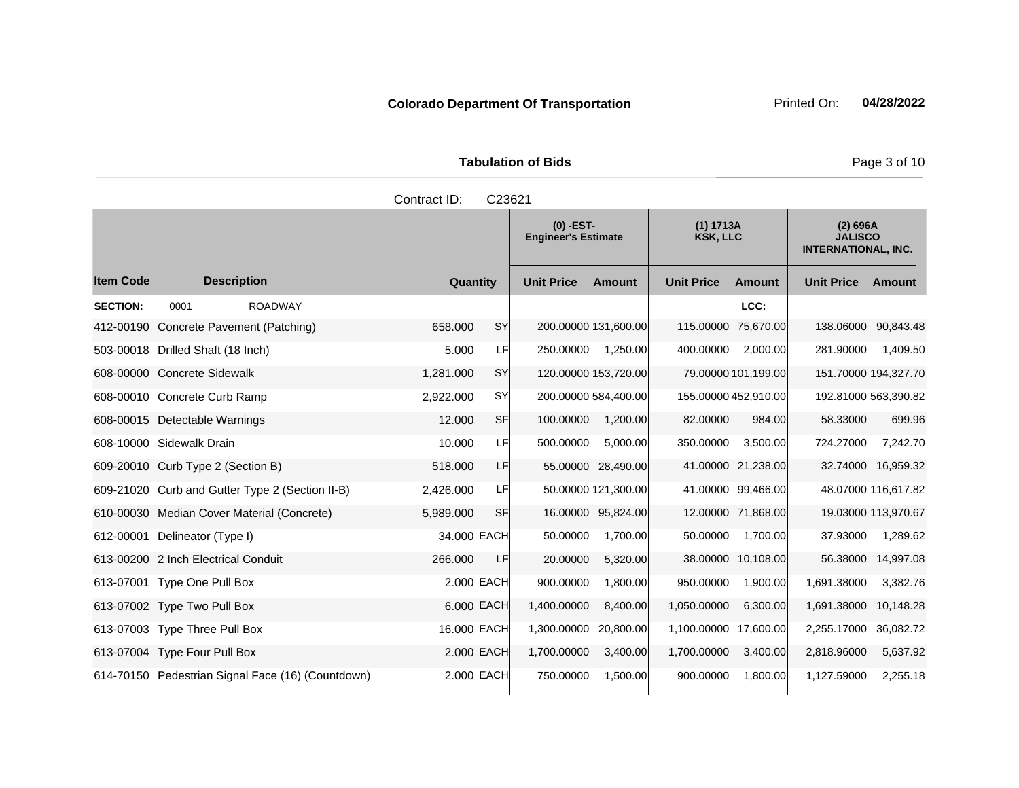Tabulation of Bids **Page 3 of 10** 

|                  |                                                   | Contract ID: | C23621     |                                           |                      |                              |                      |                                                          |                     |
|------------------|---------------------------------------------------|--------------|------------|-------------------------------------------|----------------------|------------------------------|----------------------|----------------------------------------------------------|---------------------|
|                  |                                                   |              |            | $(0)$ -EST-<br><b>Engineer's Estimate</b> |                      | (1) 1713A<br><b>KSK, LLC</b> |                      | (2) 696A<br><b>JALISCO</b><br><b>INTERNATIONAL, INC.</b> |                     |
| <b>Item Code</b> | <b>Description</b>                                | Quantity     |            | <b>Unit Price</b>                         | <b>Amount</b>        | <b>Unit Price</b>            | <b>Amount</b>        | <b>Unit Price</b>                                        | Amount              |
| <b>SECTION:</b>  | <b>ROADWAY</b><br>0001                            |              |            |                                           |                      |                              | LCC:                 |                                                          |                     |
|                  | 412-00190 Concrete Pavement (Patching)            | 658,000      | <b>SY</b>  |                                           | 200.00000 131,600.00 | 115.00000                    | 75,670.00            | 138.06000 90,843.48                                      |                     |
|                  | 503-00018 Drilled Shaft (18 Inch)                 | 5.000        | LF         | 250.00000                                 | 1,250.00             | 400.00000                    | 2,000.00             | 281.90000                                                | 1,409.50            |
|                  | 608-00000 Concrete Sidewalk                       | 1,281.000    | SY         |                                           | 120.00000 153,720.00 |                              | 79.00000 101,199.00  | 151.70000 194,327.70                                     |                     |
|                  | 608-00010 Concrete Curb Ramp                      | 2,922.000    | SY         |                                           | 200.00000 584,400.00 |                              | 155.00000 452,910.00 | 192.81000 563,390.82                                     |                     |
|                  | 608-00015 Detectable Warnings                     | 12.000       | <b>SF</b>  | 100.00000                                 | 1,200.00             | 82.00000                     | 984.00               | 58.33000                                                 | 699.96              |
|                  | 608-10000 Sidewalk Drain                          | 10.000       | LF         | 500.00000                                 | 5,000.00             | 350.00000                    | 3,500.00             | 724.27000                                                | 7,242.70            |
|                  | 609-20010 Curb Type 2 (Section B)                 | 518.000      | LF         |                                           | 55.00000 28,490.00   |                              | 41.00000 21,238.00   |                                                          | 32.74000 16,959.32  |
|                  | 609-21020 Curb and Gutter Type 2 (Section II-B)   | 2,426.000    | LF         |                                           | 50.00000 121,300.00  |                              | 41.00000 99,466.00   |                                                          | 48.07000 116,617.82 |
|                  | 610-00030 Median Cover Material (Concrete)        | 5,989.000    | <b>SF</b>  |                                           | 16.00000 95,824.00   |                              | 12.00000 71,868.00   |                                                          | 19.03000 113,970.67 |
| 612-00001        | Delineator (Type I)                               | 34.000 EACH  |            | 50.00000                                  | 1,700.00             | 50.00000                     | 1,700.00             | 37.93000                                                 | 1,289.62            |
|                  | 613-00200 2 Inch Electrical Conduit               | 266.000      | LF.        | 20.00000                                  | 5,320.00             |                              | 38.00000 10,108.00   | 56.38000                                                 | 14,997.08           |
|                  | 613-07001 Type One Pull Box                       |              | 2.000 EACH | 900.00000                                 | 1,800.00             | 950.00000                    | 1,900.00             | 1,691.38000                                              | 3,382.76            |
|                  | 613-07002 Type Two Pull Box                       |              | 6.000 EACH | 1,400.00000                               | 8,400.00             | 1,050.00000                  | 6,300.00             | 1,691.38000                                              | 10,148.28           |
|                  | 613-07003 Type Three Pull Box                     | 16.000 EACH  |            | 1,300.00000                               | 20,800.00            | 1,100.00000                  | 17,600.00            | 2,255.17000 36,082.72                                    |                     |
|                  | 613-07004 Type Four Pull Box                      |              | 2.000 EACH | 1,700.00000                               | 3,400.00             | 1,700.00000                  | 3,400.00             | 2,818.96000                                              | 5,637.92            |
|                  | 614-70150 Pedestrian Signal Face (16) (Countdown) |              | 2.000 EACH | 750.00000                                 | 1,500.00             | 900.00000                    | 1,800.00             | 1,127.59000                                              | 2,255.18            |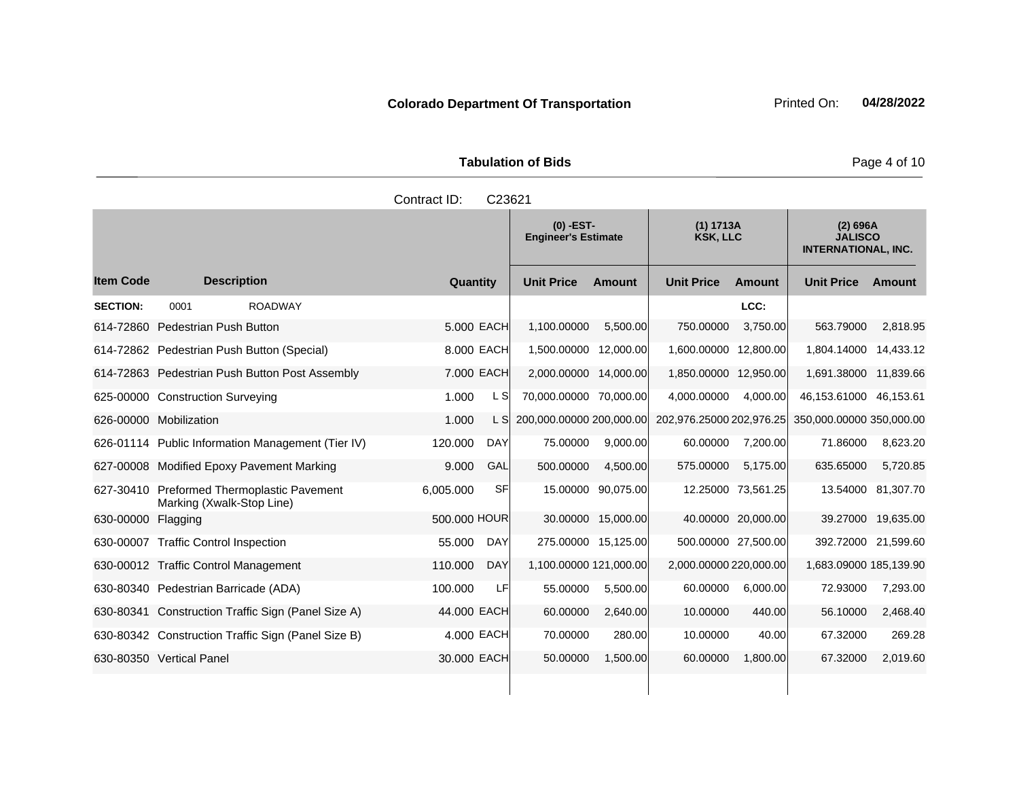Tabulation of Bids **Page 4 of 10** 

|                  |                                                                      | Contract ID: | C23621     |                                           |                     |                              |                    |                                                          |                     |
|------------------|----------------------------------------------------------------------|--------------|------------|-------------------------------------------|---------------------|------------------------------|--------------------|----------------------------------------------------------|---------------------|
|                  |                                                                      |              |            | $(0)$ -EST-<br><b>Engineer's Estimate</b> |                     | (1) 1713A<br><b>KSK, LLC</b> |                    | (2) 696A<br><b>JALISCO</b><br><b>INTERNATIONAL, INC.</b> |                     |
| <b>Item Code</b> | <b>Description</b>                                                   | Quantity     |            | <b>Unit Price</b>                         | Amount              | <b>Unit Price</b>            | Amount             | <b>Unit Price</b>                                        | Amount              |
| <b>SECTION:</b>  | 0001<br><b>ROADWAY</b>                                               |              |            |                                           |                     |                              | LCC:               |                                                          |                     |
|                  | 614-72860 Pedestrian Push Button                                     |              | 5.000 EACH | 1,100.00000                               | 5,500.00            | 750.00000                    | 3,750.00           | 563.79000                                                | 2,818.95            |
|                  | 614-72862 Pedestrian Push Button (Special)                           |              | 8.000 EACH | 1,500.00000 12,000.00                     |                     | 1,600.00000                  | 12,800.00          | 1,804.14000                                              | 14,433.12           |
|                  | 614-72863 Pedestrian Push Button Post Assembly                       | 7.000 EACH   |            | 2,000.00000 14,000.00                     |                     | 1,850.00000 12,950.00        |                    | 1,691.38000 11,839.66                                    |                     |
|                  | 625-00000 Construction Surveying                                     | 1.000        | L SI       | 70,000.00000 70,000.00                    |                     | 4,000.00000                  | 4,000.00           | 46,153.61000                                             | 46,153.61           |
|                  | 626-00000 Mobilization                                               | 1.000        | L SI       | 200,000.00000 200,000.00                  |                     | 202,976.25000 202,976.25     |                    | 350,000.00000 350,000.00                                 |                     |
|                  | 626-01114 Public Information Management (Tier IV)                    | 120.000      | <b>DAY</b> | 75.00000                                  | 9,000.00            | 60.00000                     | 7,200.00           | 71.86000                                                 | 8,623.20            |
|                  | 627-00008 Modified Epoxy Pavement Marking                            | 9.000        | GAL        | 500.00000                                 | 4,500.00            | 575.00000                    | 5.175.00           | 635.65000                                                | 5,720.85            |
| 627-30410        | <b>Preformed Thermoplastic Pavement</b><br>Marking (Xwalk-Stop Line) | 6,005.000    | SFI        | 15.00000                                  | 90,075.00           |                              | 12.25000 73,561.25 |                                                          | 13.54000 81,307.70  |
| 630-00000        | Flagging                                                             | 500.000 HOUR |            |                                           | 30.00000 15,000.00  |                              | 40.00000 20,000.00 |                                                          | 39.27000 19,635.00  |
|                  | 630-00007 Traffic Control Inspection                                 | 55.000       | <b>DAY</b> |                                           | 275.00000 15,125.00 | 500.00000 27,500.00          |                    |                                                          | 392.72000 21,599.60 |
|                  | 630-00012 Traffic Control Management                                 | 110.000      | <b>DAY</b> | 1,100.00000 121,000.00                    |                     | 2,000.00000 220,000.00       |                    | 1,683.09000 185,139.90                                   |                     |
|                  | 630-80340 Pedestrian Barricade (ADA)                                 | 100.000      | LF         | 55.00000                                  | 5,500.00            | 60.00000                     | 6.000.00           | 72.93000                                                 | 7,293.00            |
|                  | 630-80341 Construction Traffic Sign (Panel Size A)                   | 44.000 EACH  |            | 60.00000                                  | 2,640.00            | 10.00000                     | 440.00             | 56.10000                                                 | 2,468.40            |
|                  | 630-80342 Construction Traffic Sign (Panel Size B)                   | 4.000 EACH   |            | 70.00000                                  | 280.00              | 10.00000                     | 40.00              | 67.32000                                                 | 269.28              |
|                  | 630-80350 Vertical Panel                                             | 30,000 EACH  |            | 50.00000                                  | 1,500.00            | 60.00000                     | 1.800.00           | 67.32000                                                 | 2,019.60            |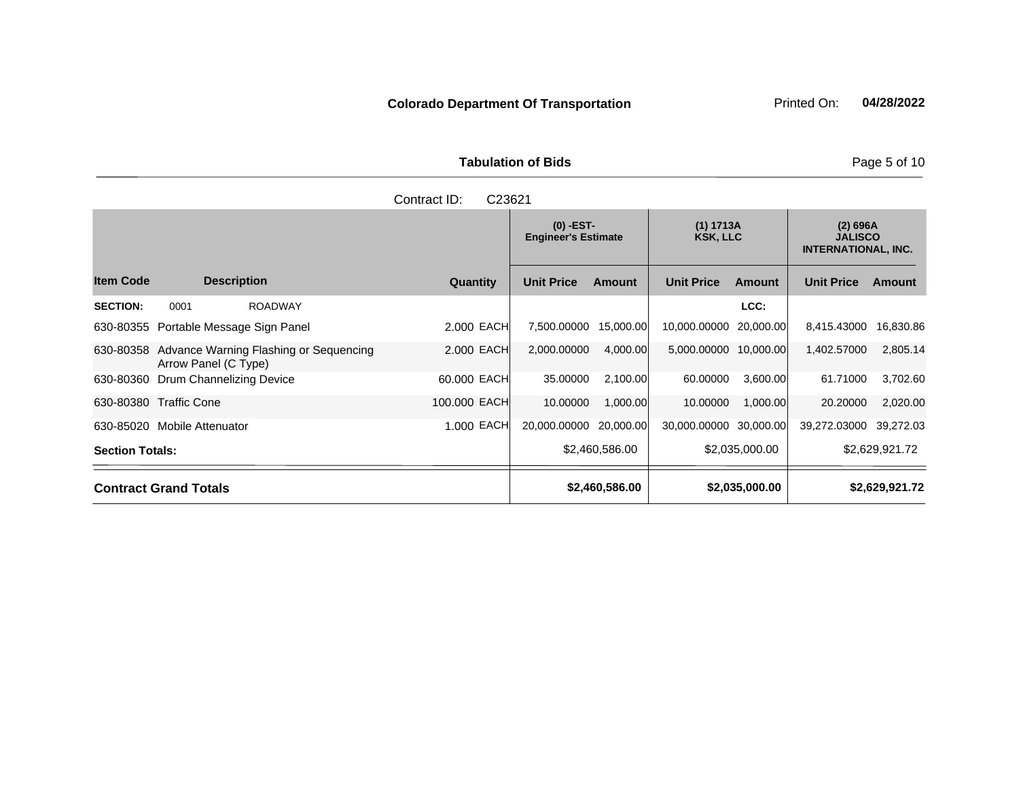**Tabulation of Bids Page 5 of 10** 

|                        |                              |                                        | C23621<br>Contract ID: |                                           |                |                              |                |                                                          |                |
|------------------------|------------------------------|----------------------------------------|------------------------|-------------------------------------------|----------------|------------------------------|----------------|----------------------------------------------------------|----------------|
|                        |                              |                                        |                        | $(0)$ -EST-<br><b>Engineer's Estimate</b> |                | (1) 1713A<br><b>KSK, LLC</b> |                | (2) 696A<br><b>JALISCO</b><br><b>INTERNATIONAL, INC.</b> |                |
| <b>Item Code</b>       |                              | <b>Description</b>                     | <b>Quantity</b>        | <b>Unit Price</b>                         | <b>Amount</b>  | <b>Unit Price</b>            | Amount         | <b>Unit Price</b>                                        | Amount         |
| <b>SECTION:</b>        | 0001                         | <b>ROADWAY</b>                         |                        |                                           |                |                              | LCC:           |                                                          |                |
|                        |                              | 630-80355 Portable Message Sign Panel  | 2.000 EACH             | 7,500.00000                               | 15,000.00      | 10,000.00000                 | 20,000.00      | 8,415.43000                                              | 16,830.86      |
| 630-80358              | Arrow Panel (C Type)         | Advance Warning Flashing or Sequencing | 2.000 EACH             | 2,000.00000                               | 4,000.00       | 5,000.00000                  | 10,000.00      | 1,402.57000                                              | 2,805.14       |
| 630-80360              |                              | Drum Channelizing Device               | 60.000 EACH            | 35.00000                                  | 2,100.00       | 60.00000                     | 3,600.00       | 61.71000                                                 | 3,702.60       |
|                        | 630-80380 Traffic Cone       |                                        | 100.000 EACH           | 10.00000                                  | 1,000.00       | 10.00000                     | 1,000.00       | 20.20000                                                 | 2,020.00       |
| 630-85020              | Mobile Attenuator            |                                        | 1.000 EACH             | 20,000.00000                              | 20,000.00      | 30,000.00000 30,000.00       |                | 39,272.03000                                             | 39,272.03      |
| <b>Section Totals:</b> |                              |                                        |                        |                                           | \$2,460,586.00 |                              | \$2,035,000.00 |                                                          | \$2,629,921.72 |
|                        | <b>Contract Grand Totals</b> |                                        |                        |                                           | \$2,460,586.00 |                              | \$2,035,000.00 |                                                          | \$2,629,921.72 |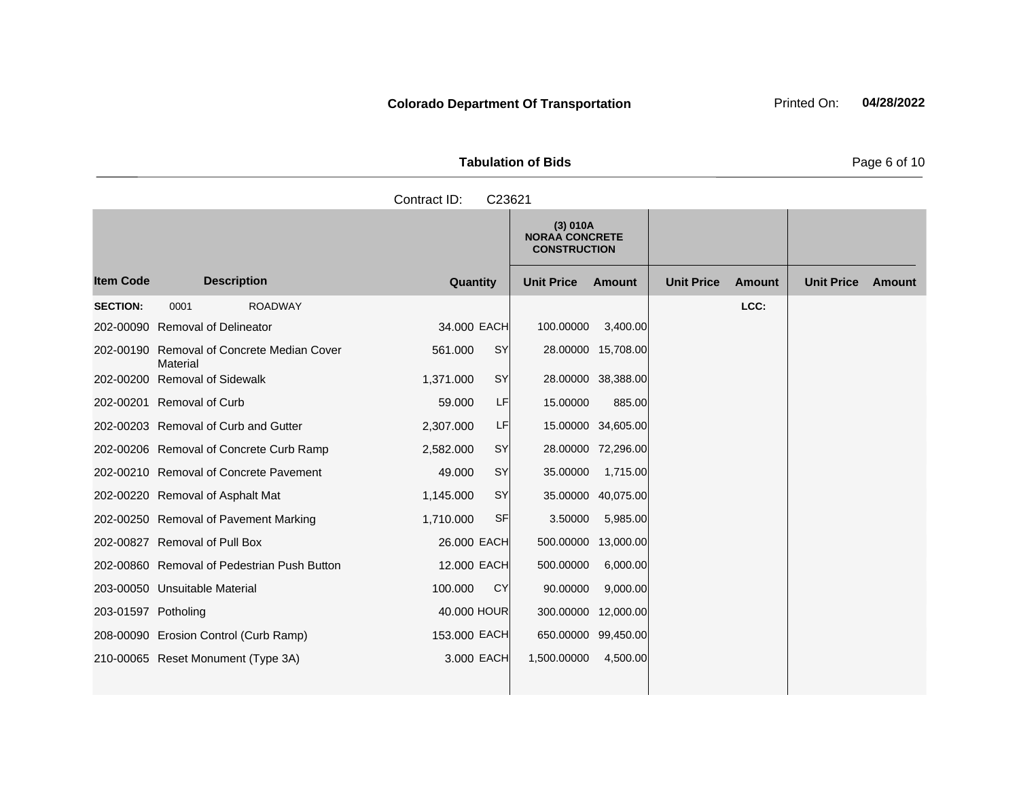**Tabulation of Bids Page 6 of 10** 

|                     |                                                        | Contract ID:<br>C23621 |                                                          |           |                   |               |                   |        |
|---------------------|--------------------------------------------------------|------------------------|----------------------------------------------------------|-----------|-------------------|---------------|-------------------|--------|
|                     |                                                        |                        | (3) 010A<br><b>NORAA CONCRETE</b><br><b>CONSTRUCTION</b> |           |                   |               |                   |        |
| <b>Item Code</b>    | <b>Description</b>                                     | Quantity               | <b>Unit Price</b>                                        | Amount    | <b>Unit Price</b> | <b>Amount</b> | <b>Unit Price</b> | Amount |
| <b>SECTION:</b>     | <b>ROADWAY</b><br>0001                                 |                        |                                                          |           |                   | LCC:          |                   |        |
|                     | 202-00090 Removal of Delineator                        | 34,000 EACH            | 100.00000                                                | 3,400.00  |                   |               |                   |        |
|                     | 202-00190 Removal of Concrete Median Cover<br>Material | SY<br>561.000          | 28.00000 15,708.00                                       |           |                   |               |                   |        |
|                     | 202-00200 Removal of Sidewalk                          | SY<br>1,371.000        | 28.00000 38,388.00                                       |           |                   |               |                   |        |
|                     | 202-00201 Removal of Curb                              | LF<br>59,000           | 15.00000                                                 | 885.00    |                   |               |                   |        |
|                     | 202-00203 Removal of Curb and Gutter                   | 2,307.000<br>LF        | 15.00000 34,605.00                                       |           |                   |               |                   |        |
|                     | 202-00206 Removal of Concrete Curb Ramp                | <b>SY</b><br>2,582.000 | 28.00000 72,296.00                                       |           |                   |               |                   |        |
|                     | 202-00210 Removal of Concrete Pavement                 | SY<br>49,000           | 35.00000                                                 | 1,715.00  |                   |               |                   |        |
|                     | 202-00220 Removal of Asphalt Mat                       | SY<br>1,145.000        | 35.00000                                                 | 40,075.00 |                   |               |                   |        |
|                     | 202-00250 Removal of Pavement Marking                  | <b>SF</b><br>1,710.000 | 3.50000                                                  | 5,985.00  |                   |               |                   |        |
|                     | 202-00827 Removal of Pull Box                          | 26,000 EACH            | 500.00000                                                | 13,000.00 |                   |               |                   |        |
|                     | 202-00860 Removal of Pedestrian Push Button            | 12.000 EACH            | 500.00000                                                | 6,000.00  |                   |               |                   |        |
|                     | 203-00050 Unsuitable Material                          | CY<br>100.000          | 90.00000                                                 | 9,000.00  |                   |               |                   |        |
| 203-01597 Potholing |                                                        | 40.000 HOUR            | 300.00000 12,000.00                                      |           |                   |               |                   |        |
|                     | 208-00090 Erosion Control (Curb Ramp)                  | 153,000 EACH           | 650.00000 99,450.00                                      |           |                   |               |                   |        |
|                     | 210-00065 Reset Monument (Type 3A)                     | 3.000 EACH             | 1,500.00000                                              | 4,500.00  |                   |               |                   |        |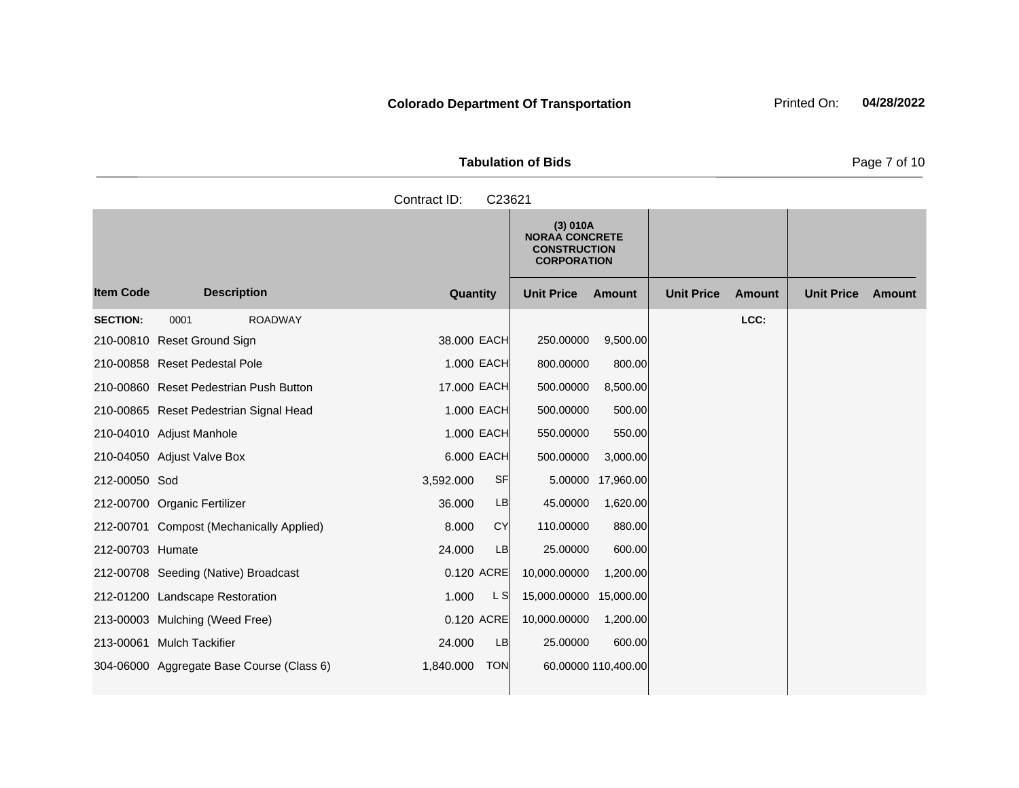| <b>Tabulation of Bids</b> | Page 7 of 10 |
|---------------------------|--------------|

|                  |                                           | Contract ID:<br>C23621  |                                                                                |                   |                   |               |                   |        |
|------------------|-------------------------------------------|-------------------------|--------------------------------------------------------------------------------|-------------------|-------------------|---------------|-------------------|--------|
|                  |                                           |                         | (3) 010A<br><b>NORAA CONCRETE</b><br><b>CONSTRUCTION</b><br><b>CORPORATION</b> |                   |                   |               |                   |        |
| <b>Item Code</b> | <b>Description</b>                        | Quantity                | <b>Unit Price</b>                                                              | Amount            | <b>Unit Price</b> | <b>Amount</b> | <b>Unit Price</b> | Amount |
| <b>SECTION:</b>  | <b>ROADWAY</b><br>0001                    |                         |                                                                                |                   |                   | LCC:          |                   |        |
|                  | 210-00810 Reset Ground Sign               | 38.000 EACH             | 250.00000                                                                      | 9,500.00          |                   |               |                   |        |
|                  | 210-00858 Reset Pedestal Pole             | 1.000 EACH              | 800.00000                                                                      | 800.00            |                   |               |                   |        |
|                  | 210-00860 Reset Pedestrian Push Button    | 17.000 EACH             | 500.00000                                                                      | 8,500.00          |                   |               |                   |        |
|                  | 210-00865 Reset Pedestrian Signal Head    | 1.000 EACH              | 500.00000                                                                      | 500.00            |                   |               |                   |        |
|                  | 210-04010 Adjust Manhole                  | 1.000 EACH              | 550.00000                                                                      | 550.00            |                   |               |                   |        |
|                  | 210-04050 Adjust Valve Box                | 6.000 EACH              | 500.00000                                                                      | 3,000.00          |                   |               |                   |        |
| 212-00050 Sod    |                                           | SF<br>3,592.000         |                                                                                | 5.00000 17,960.00 |                   |               |                   |        |
|                  | 212-00700 Organic Fertilizer              | 36,000<br>LB            | 45.00000                                                                       | 1,620.00          |                   |               |                   |        |
|                  | 212-00701 Compost (Mechanically Applied)  | <b>CY</b><br>8.000      | 110.00000                                                                      | 880.00            |                   |               |                   |        |
| 212-00703 Humate |                                           | 24.000<br>LB            | 25.00000                                                                       | 600.00            |                   |               |                   |        |
|                  | 212-00708 Seeding (Native) Broadcast      | 0.120 ACRE              | 10,000.00000                                                                   | 1,200.00          |                   |               |                   |        |
|                  | 212-01200 Landscape Restoration           | L S<br>1.000            | 15,000.00000 15,000.00                                                         |                   |                   |               |                   |        |
|                  | 213-00003 Mulching (Weed Free)            | 0.120 ACRE              | 10,000.00000                                                                   | 1,200.00          |                   |               |                   |        |
|                  | 213-00061 Mulch Tackifier                 | <b>LB</b><br>24.000     | 25.00000                                                                       | 600.00            |                   |               |                   |        |
|                  | 304-06000 Aggregate Base Course (Class 6) | 1,840.000<br><b>TON</b> | 60.00000 110,400.00                                                            |                   |                   |               |                   |        |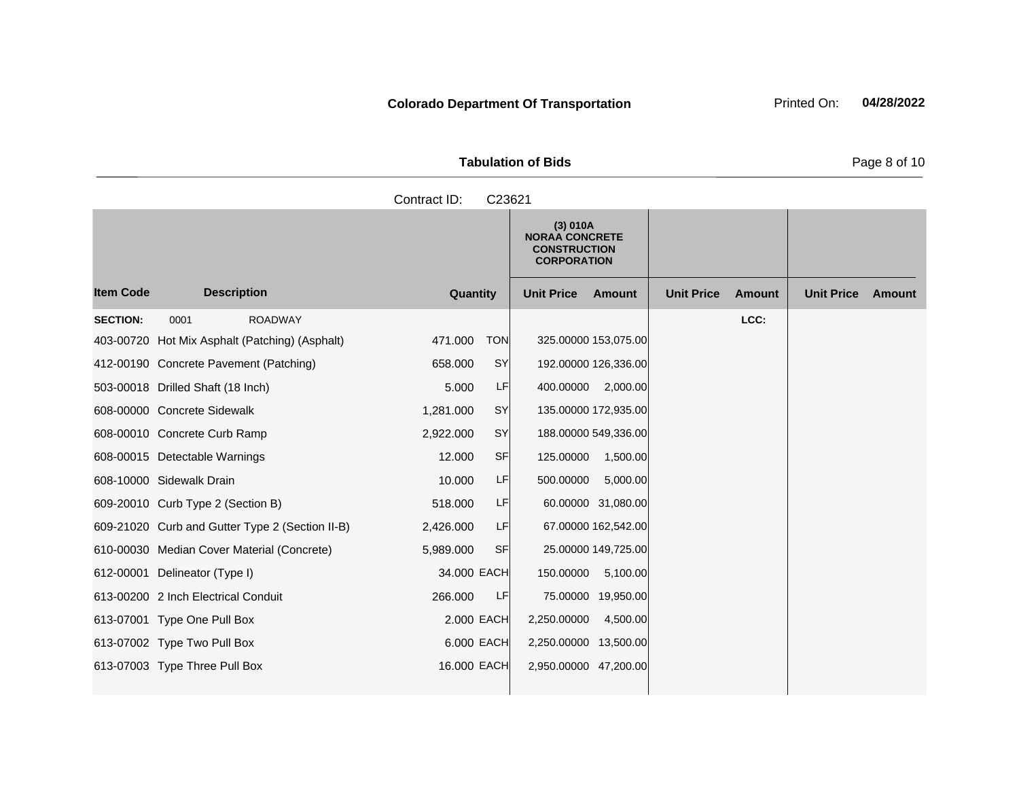| <b>Tabulation of Bids</b> |  |
|---------------------------|--|

**Quantity Unit Price Unit Price Item Code Amount Unit Price Amount Ext Ext Unit Price Amount Ext (3) 010A NORAA CONCRETE CONSTRUCTION CORPORATION Description SECTION:** 0001 ROADWAY **LCC:** 403-00720 Hot Mix Asphalt (Patching) (Asphalt) 471.000 TON 325.00000 153,075.00 412-00190 Concrete Pavement (Patching) 658.000 SY 192.00000 126,336.00 503-00018 Drilled Shaft (18 Inch) 5.000 LF 400.00000 2,000.00 608-00000 Concrete Sidewalk 1,281.000 SY 135.00000 172,935.00 608-00010 Concrete Curb Ramp 2,922.000 SY 188.00000 549,336.00 608-00015 Detectable Warnings 12.000 SF 125.00000 1,500.00 608-10000 Sidewalk Drain 10.000 LF 500.00000 5,000.00 609-20010 Curb Type 2 (Section B) 518.000 LF 60.00000 31,080.00 609-21020 Curb and Gutter Type 2 (Section II-B) 2,426.000 LF 67.00000 162,542.00 610-00030 Median Cover Material (Concrete) 5,989.000 SF 25.00000 149,725.00 612-00001 Delineator (Type I) 34.000 EACH 150.00000 5,100.00 613-00200 2 Inch Electrical Conduit 266.000 LF 75.00000 19,950.00 613-07001 Type One Pull Box 2.000 EACH 2,250.00000 4,500.00 613-07002 Type Two Pull Box 6.000 EACH 2,250.00000 13,500.00 613-07003 Type Three Pull Box 16.000 EACH 2,950.00000 47,200.00 Contract ID: C23621

Page 8 of 10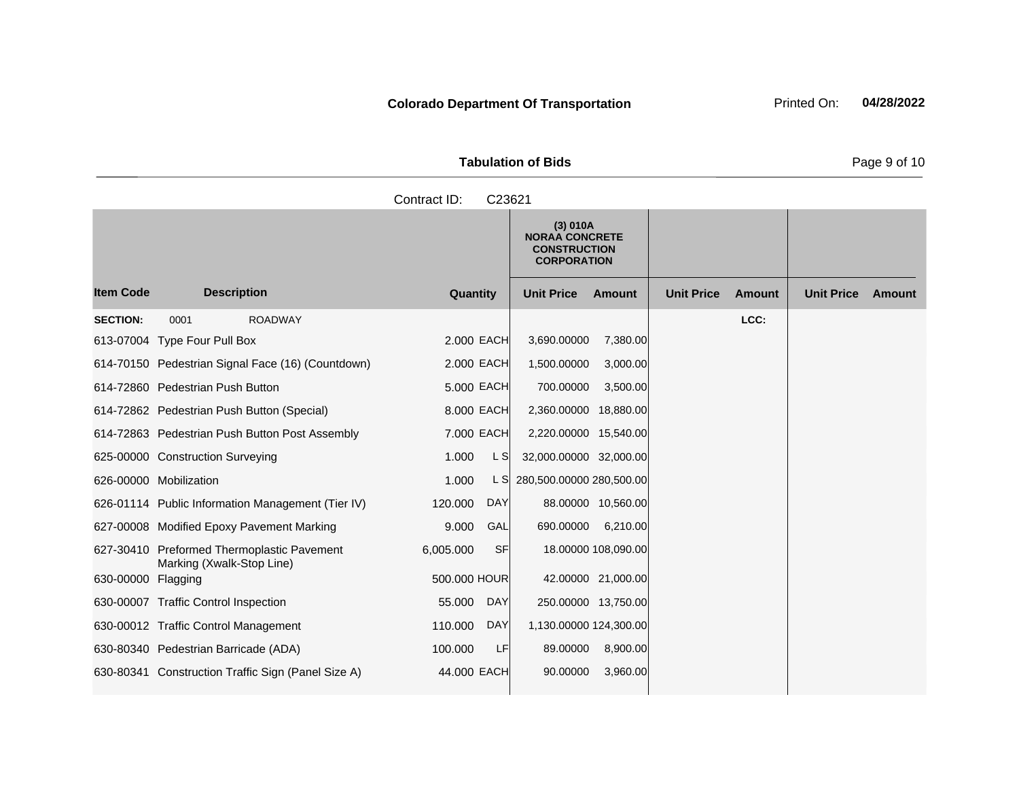| <b>Tabulation of Bids</b> | Page 9 of 10 |
|---------------------------|--------------|

|                    |                                                                         | Contract ID:<br>C23621 |                                                                                |                                    |                             |
|--------------------|-------------------------------------------------------------------------|------------------------|--------------------------------------------------------------------------------|------------------------------------|-----------------------------|
|                    |                                                                         |                        | (3) 010A<br><b>NORAA CONCRETE</b><br><b>CONSTRUCTION</b><br><b>CORPORATION</b> |                                    |                             |
| <b>Item Code</b>   | <b>Description</b>                                                      | Quantity               | <b>Unit Price</b><br>Amount                                                    | <b>Unit Price</b><br><b>Amount</b> | <b>Unit Price</b><br>Amount |
| <b>SECTION:</b>    | 0001<br><b>ROADWAY</b>                                                  |                        |                                                                                | LCC:                               |                             |
|                    | 613-07004 Type Four Pull Box                                            | 2,000 EACH             | 3,690.00000<br>7,380.00                                                        |                                    |                             |
|                    | 614-70150 Pedestrian Signal Face (16) (Countdown)                       | 2.000 EACH             | 1,500.00000<br>3,000.00                                                        |                                    |                             |
|                    | 614-72860 Pedestrian Push Button                                        | 5.000 EACH             | 700.00000<br>3,500.00                                                          |                                    |                             |
|                    | 614-72862 Pedestrian Push Button (Special)                              | 8.000 EACH             | 2,360.00000 18,880.00                                                          |                                    |                             |
|                    | 614-72863 Pedestrian Push Button Post Assembly                          | 7.000 EACH             | 2,220.00000 15,540.00                                                          |                                    |                             |
|                    | 625-00000 Construction Surveying                                        | L S<br>1.000           | 32,000.00000 32,000.00                                                         |                                    |                             |
|                    | 626-00000 Mobilization                                                  | 1.000<br>L SI          | 280,500.00000 280,500.00                                                       |                                    |                             |
|                    | 626-01114 Public Information Management (Tier IV)                       | 120.000<br><b>DAY</b>  | 88.00000 10,560.00                                                             |                                    |                             |
|                    | 627-00008 Modified Epoxy Pavement Marking                               | 9.000<br>GAL           | 690.00000<br>6,210.00                                                          |                                    |                             |
|                    | 627-30410 Preformed Thermoplastic Pavement<br>Marking (Xwalk-Stop Line) | 6,005.000<br><b>SF</b> | 18.00000 108,090.00                                                            |                                    |                             |
| 630-00000 Flagging |                                                                         | 500.000 HOUR           | 42.00000 21,000.00                                                             |                                    |                             |
|                    | 630-00007 Traffic Control Inspection                                    | DAY<br>55.000          | 250.00000 13,750.00                                                            |                                    |                             |
|                    | 630-00012 Traffic Control Management                                    | 110.000<br><b>DAY</b>  | 1,130.00000 124,300.00                                                         |                                    |                             |
|                    | 630-80340 Pedestrian Barricade (ADA)                                    | LF<br>100.000          | 89.00000<br>8,900.00                                                           |                                    |                             |
|                    | 630-80341 Construction Traffic Sign (Panel Size A)                      | 44,000 EACH            | 90.00000<br>3,960.00                                                           |                                    |                             |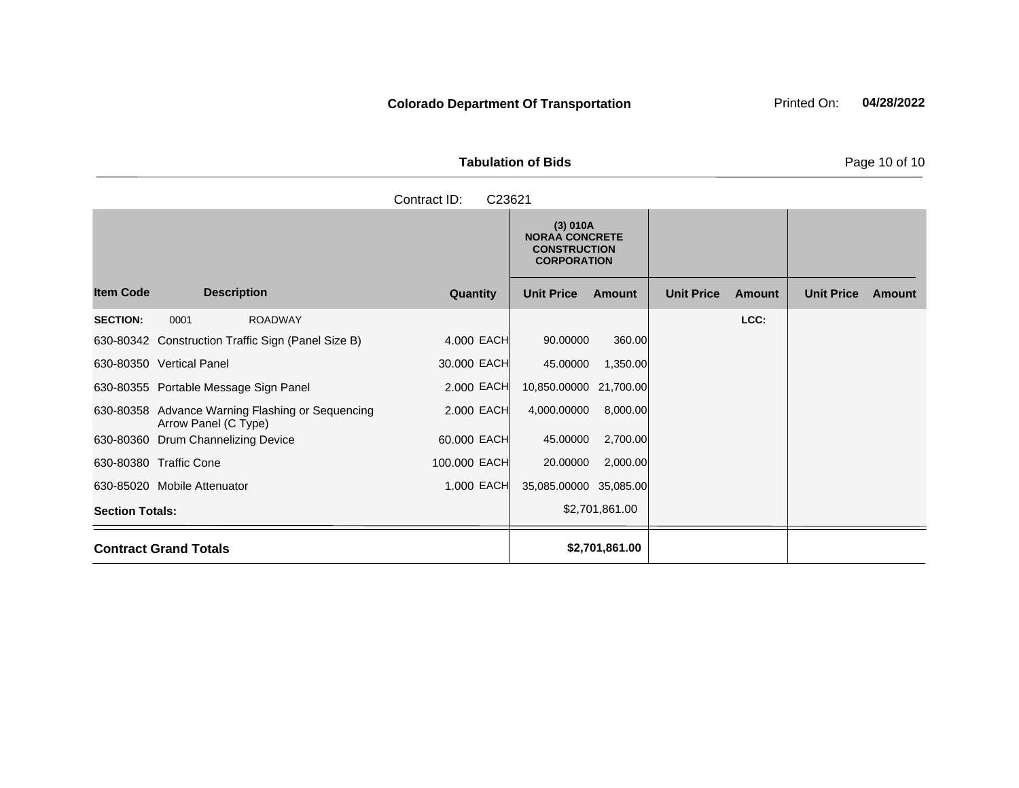| <b>Tabulation of Bids</b> | Page 10 of 10 |
|---------------------------|---------------|

|                        |                                                                          | Contract ID:<br>C23621 |                                                                                |                |                   |        |                   |        |
|------------------------|--------------------------------------------------------------------------|------------------------|--------------------------------------------------------------------------------|----------------|-------------------|--------|-------------------|--------|
|                        |                                                                          |                        | (3) 010A<br><b>NORAA CONCRETE</b><br><b>CONSTRUCTION</b><br><b>CORPORATION</b> |                |                   |        |                   |        |
| <b>Item Code</b>       | <b>Description</b>                                                       | Quantity               | <b>Unit Price</b>                                                              | <b>Amount</b>  | <b>Unit Price</b> | Amount | <b>Unit Price</b> | Amount |
| <b>SECTION:</b>        | <b>ROADWAY</b><br>0001                                                   |                        |                                                                                |                |                   | LCC:   |                   |        |
|                        | 630-80342 Construction Traffic Sign (Panel Size B)                       | 4.000 EACH             | 90.00000                                                                       | 360.00         |                   |        |                   |        |
|                        | 630-80350 Vertical Panel                                                 | 30.000 EACH            | 45.00000                                                                       | 1,350.00       |                   |        |                   |        |
|                        | 630-80355 Portable Message Sign Panel                                    | 2,000 EACH             | 10,850.00000 21,700.00                                                         |                |                   |        |                   |        |
|                        | 630-80358 Advance Warning Flashing or Sequencing<br>Arrow Panel (C Type) | 2.000 EACH             | 4,000.00000                                                                    | 8,000.00       |                   |        |                   |        |
|                        | 630-80360 Drum Channelizing Device                                       | 60,000 EACH            | 45.00000                                                                       | 2,700.00       |                   |        |                   |        |
|                        | 630-80380 Traffic Cone                                                   | 100.000 EACH           | 20.00000                                                                       | 2,000.00       |                   |        |                   |        |
|                        | 630-85020 Mobile Attenuator                                              | 1.000 EACH             | 35,085.00000 35,085.00                                                         |                |                   |        |                   |        |
| <b>Section Totals:</b> |                                                                          |                        |                                                                                | \$2,701,861.00 |                   |        |                   |        |
|                        |                                                                          |                        |                                                                                |                |                   |        |                   |        |

**Contract Grand Totals 62,701,861.00**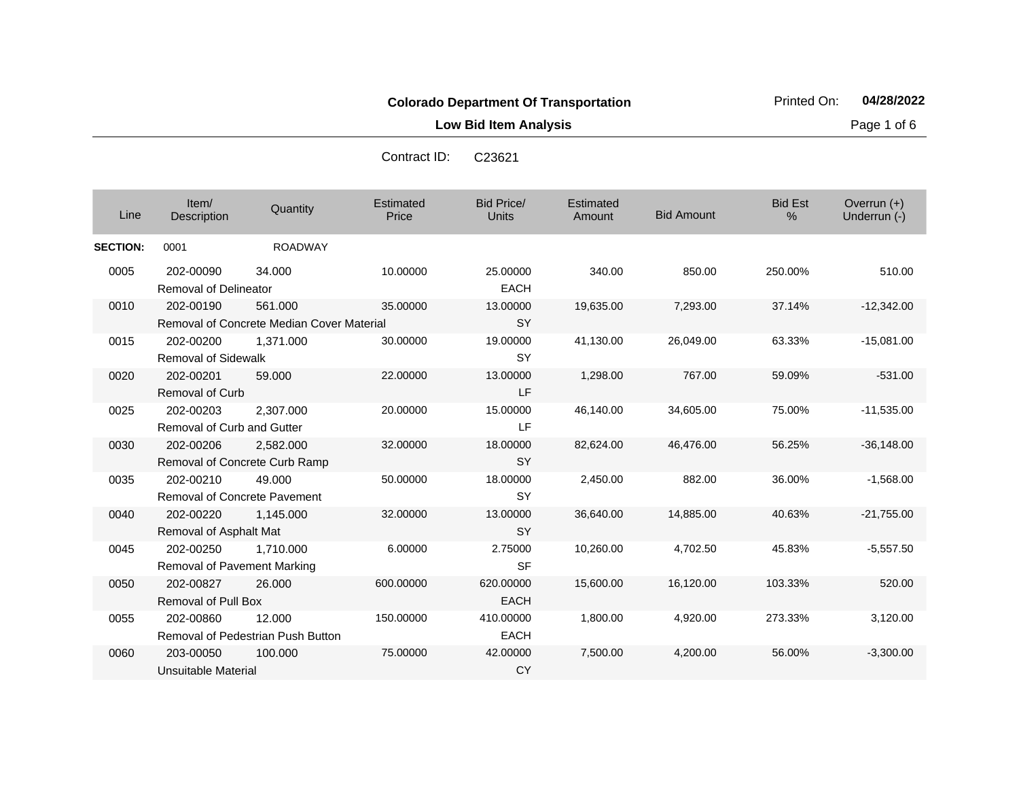**Low Bid Item Analysis Page 1 of 6** 

Overrun (+)<br>Underrun (-)

Contract ID: C23621

| Line         | Item/<br><b>Description</b>  | Quantity       | Estimated<br>Price | Bid Price/<br><b>Units</b> | Estimated<br>Amount | <b>Bid Amount</b> | <b>Bid Est</b><br>$\%$ | Overrun $(+)$<br>Underrun (-) |
|--------------|------------------------------|----------------|--------------------|----------------------------|---------------------|-------------------|------------------------|-------------------------------|
| <b>TION:</b> | 0001                         | <b>ROADWAY</b> |                    |                            |                     |                   |                        |                               |
| )05          | 202-00090                    | 34.000         | 10.00000           | 25.00000                   | 340.00              | 850.00            | 250.00%                | 510.0                         |
|              | <b>Removal of Delineator</b> |                |                    | <b>EACH</b>                |                     |                   |                        |                               |
| 10           | 202-00190                    | 561.000        | 35,00000           | 13,00000                   | 19,635.00           | 7,293.00          | 37.14%                 | $-12,342.0$                   |

| <b>SECTION:</b> | 0001                              | <b>ROADWAY</b>                            |           |             |           |           |         |              |
|-----------------|-----------------------------------|-------------------------------------------|-----------|-------------|-----------|-----------|---------|--------------|
| 0005            | 202-00090                         | 34.000                                    | 10.00000  | 25,00000    | 340.00    | 850.00    | 250.00% | 510.00       |
|                 | <b>Removal of Delineator</b>      |                                           |           | <b>EACH</b> |           |           |         |              |
| 0010            | 202-00190                         | 561.000                                   | 35.00000  | 13.00000    | 19,635.00 | 7,293.00  | 37.14%  | $-12,342.00$ |
|                 |                                   | Removal of Concrete Median Cover Material |           | <b>SY</b>   |           |           |         |              |
| 0015            | 202-00200                         | 1,371.000                                 | 30.00000  | 19.00000    | 41,130.00 | 26,049.00 | 63.33%  | $-15,081.00$ |
|                 | <b>Removal of Sidewalk</b>        |                                           |           | <b>SY</b>   |           |           |         |              |
| 0020            | 202-00201                         | 59,000                                    | 22,00000  | 13.00000    | 1,298.00  | 767.00    | 59.09%  | $-531.00$    |
|                 | <b>Removal of Curb</b>            |                                           |           | LF          |           |           |         |              |
| 0025            | 202-00203                         | 2.307.000                                 | 20.00000  | 15.00000    | 46,140.00 | 34,605.00 | 75.00%  | $-11,535.00$ |
|                 | <b>Removal of Curb and Gutter</b> |                                           |           | LF          |           |           |         |              |
| 0030            | 202-00206                         | 2,582.000                                 | 32.00000  | 18.00000    | 82,624.00 | 46,476.00 | 56.25%  | $-36,148.00$ |
|                 |                                   | Removal of Concrete Curb Ramp             |           | <b>SY</b>   |           |           |         |              |
| 0035            | 202-00210                         | 49,000                                    | 50.00000  | 18.00000    | 2,450.00  | 882.00    | 36.00%  | $-1,568.00$  |
|                 |                                   | <b>Removal of Concrete Pavement</b>       |           | SY          |           |           |         |              |
| 0040            | 202-00220                         | 1,145.000                                 | 32.00000  | 13.00000    | 36,640.00 | 14,885.00 | 40.63%  | $-21,755.00$ |
|                 | Removal of Asphalt Mat            |                                           |           | <b>SY</b>   |           |           |         |              |
| 0045            | 202-00250                         | 1,710.000                                 | 6.00000   | 2.75000     | 10,260.00 | 4,702.50  | 45.83%  | $-5,557.50$  |
|                 | Removal of Pavement Marking       |                                           |           | <b>SF</b>   |           |           |         |              |
| 0050            | 202-00827                         | 26,000                                    | 600.00000 | 620,00000   | 15,600.00 | 16,120.00 | 103.33% | 520.00       |
|                 | Removal of Pull Box               |                                           |           | <b>EACH</b> |           |           |         |              |
| 0055            | 202-00860                         | 12.000                                    | 150,00000 | 410.00000   | 1,800.00  | 4,920.00  | 273.33% | 3,120.00     |
|                 |                                   | Removal of Pedestrian Push Button         |           | <b>EACH</b> |           |           |         |              |
| 0060            | 203-00050                         | 100.000                                   | 75,00000  | 42.00000    | 7,500.00  | 4,200.00  | 56.00%  | $-3,300.00$  |
|                 | Unsuitable Material               |                                           |           | <b>CY</b>   |           |           |         |              |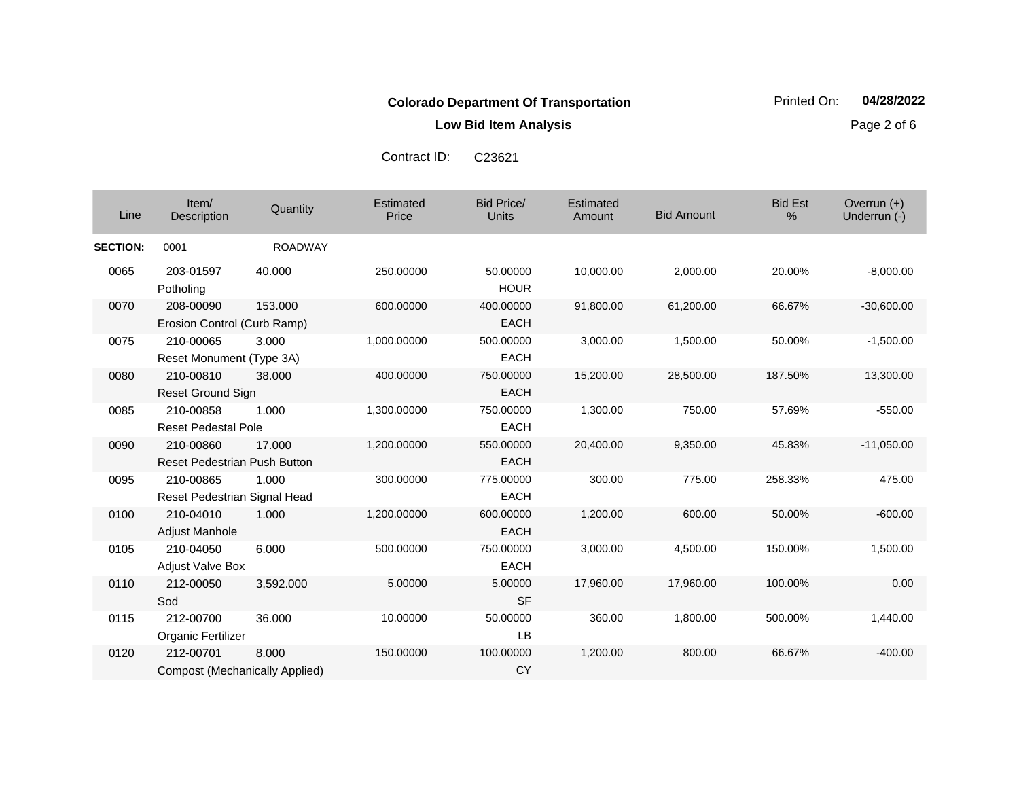**Low Bid Item Analysis Page 2 of 6** 

|                 |                                                    |                | Contract ID:       | C <sub>23621</sub>                |                     |                   |                     |                             |
|-----------------|----------------------------------------------------|----------------|--------------------|-----------------------------------|---------------------|-------------------|---------------------|-----------------------------|
| Line            | Item/<br>Description                               | Quantity       | Estimated<br>Price | <b>Bid Price/</b><br><b>Units</b> | Estimated<br>Amount | <b>Bid Amount</b> | <b>Bid Est</b><br>% | Overrun (+)<br>Underrun (-) |
| <b>SECTION:</b> | 0001                                               | <b>ROADWAY</b> |                    |                                   |                     |                   |                     |                             |
| 0065            | 203-01597<br>Potholing                             | 40.000         | 250.00000          | 50.00000<br><b>HOUR</b>           | 10,000.00           | 2,000.00          | 20.00%              | $-8,000.00$                 |
| 0070            | 208-00090<br>Erosion Control (Curb Ramp)           | 153.000        | 600.00000          | 400.00000<br><b>EACH</b>          | 91,800.00           | 61,200.00         | 66.67%              | $-30,600.00$                |
| 0075            | 210-00065<br>Reset Monument (Type 3A)              | 3.000          | 1,000.00000        | 500.00000<br><b>EACH</b>          | 3,000.00            | 1,500.00          | 50.00%              | $-1,500.00$                 |
| 0080            | 210-00810<br>Reset Ground Sign                     | 38.000         | 400.00000          | 750.00000<br><b>EACH</b>          | 15,200.00           | 28,500.00         | 187.50%             | 13,300.00                   |
| 0085            | 210-00858<br><b>Reset Pedestal Pole</b>            | 1.000          | 1,300.00000        | 750.00000<br><b>EACH</b>          | 1,300.00            | 750.00            | 57.69%              | $-550.00$                   |
| 0090            | 210-00860<br><b>Reset Pedestrian Push Button</b>   | 17.000         | 1,200.00000        | 550.00000<br><b>EACH</b>          | 20,400.00           | 9,350.00          | 45.83%              | $-11,050.00$                |
| 0095            | 210-00865<br>Reset Pedestrian Signal Head          | 1.000          | 300.00000          | 775.00000<br>EACH                 | 300.00              | 775.00            | 258.33%             | 475.00                      |
| 0100            | 210-04010<br>Adjust Manhole                        | 1.000          | 1,200.00000        | 600.00000<br><b>EACH</b>          | 1,200.00            | 600.00            | 50.00%              | $-600.00$                   |
| 0105            | 210-04050<br><b>Adjust Valve Box</b>               | 6.000          | 500.00000          | 750.00000<br><b>EACH</b>          | 3,000.00            | 4,500.00          | 150.00%             | 1,500.00                    |
| 0110            | 212-00050<br>Sod                                   | 3,592.000      | 5.00000            | 5.00000<br><b>SF</b>              | 17,960.00           | 17,960.00         | 100.00%             | 0.00                        |
| 0115            | 212-00700<br>Organic Fertilizer                    | 36.000         | 10.00000           | 50.00000<br>LB                    | 360.00              | 1,800.00          | 500.00%             | 1,440.00                    |
| 0120            | 212-00701<br><b>Compost (Mechanically Applied)</b> | 8.000          | 150.00000          | 100.00000<br><b>CY</b>            | 1,200.00            | 800.00            | 66.67%              | $-400.00$                   |

Contract ID: C23621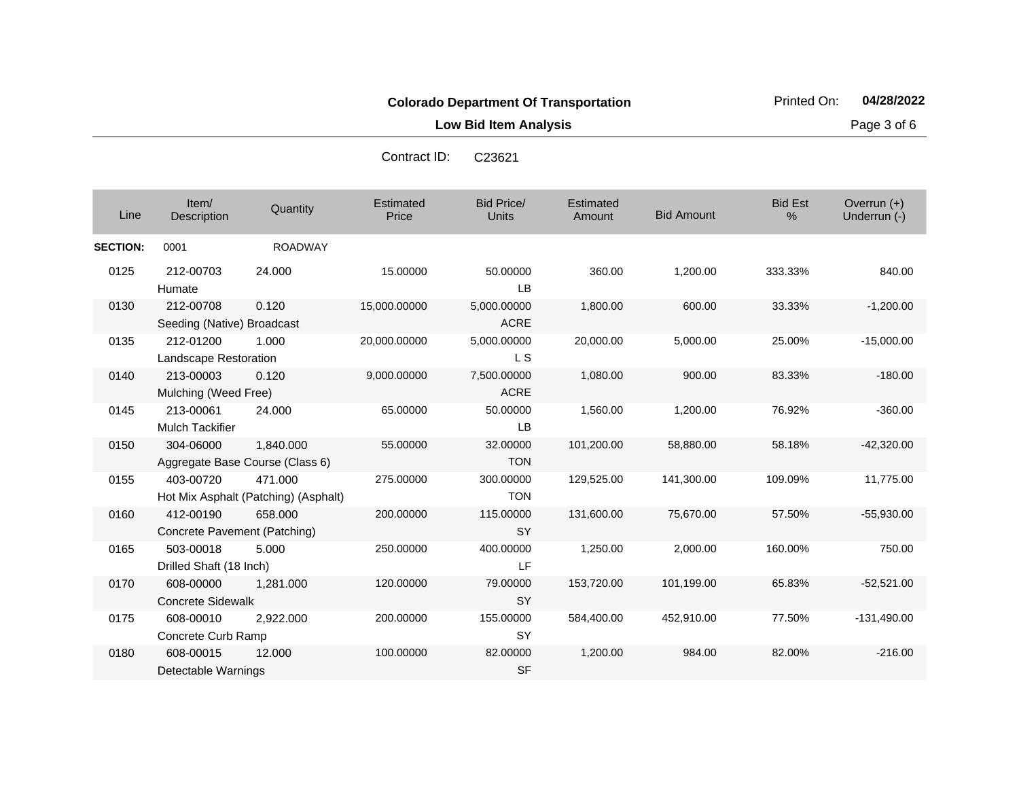**Low Bid Item Analysis Page 3 of 6** 

| Line            | Item/<br>Description                      | Quantity                                        | Estimated<br>Price | <b>Bid Price/</b><br><b>Units</b> | Estimated<br>Amount | <b>Bid Amount</b> | <b>Bid Est</b><br>% | Overrun (+)<br>Underrun (-) |
|-----------------|-------------------------------------------|-------------------------------------------------|--------------------|-----------------------------------|---------------------|-------------------|---------------------|-----------------------------|
| <b>SECTION:</b> | 0001                                      | <b>ROADWAY</b>                                  |                    |                                   |                     |                   |                     |                             |
| 0125            | 212-00703<br>Humate                       | 24.000                                          | 15.00000           | 50.00000<br><b>LB</b>             | 360.00              | 1,200.00          | 333.33%             | 840.00                      |
| 0130            | 212-00708<br>Seeding (Native) Broadcast   | 0.120                                           | 15,000.00000       | 5,000.00000<br><b>ACRE</b>        | 1,800.00            | 600.00            | 33.33%              | $-1,200.00$                 |
| 0135            | 212-01200<br>Landscape Restoration        | 1.000                                           | 20,000.00000       | 5,000.00000<br><b>LS</b>          | 20,000.00           | 5,000.00          | 25.00%              | $-15,000.00$                |
| 0140            | 213-00003<br>Mulching (Weed Free)         | 0.120                                           | 9,000.00000        | 7,500.00000<br><b>ACRE</b>        | 1,080.00            | 900.00            | 83.33%              | $-180.00$                   |
| 0145            | 213-00061<br><b>Mulch Tackifier</b>       | 24.000                                          | 65.00000           | 50.00000<br><b>LB</b>             | 1,560.00            | 1,200.00          | 76.92%              | $-360.00$                   |
| 0150            | 304-06000                                 | 1,840.000<br>Aggregate Base Course (Class 6)    | 55.00000           | 32.00000<br><b>TON</b>            | 101,200.00          | 58,880.00         | 58.18%              | $-42,320.00$                |
| 0155            | 403-00720                                 | 471.000<br>Hot Mix Asphalt (Patching) (Asphalt) | 275.00000          | 300.00000<br><b>TON</b>           | 129,525.00          | 141,300.00        | 109.09%             | 11,775.00                   |
| 0160            | 412-00190<br>Concrete Pavement (Patching) | 658,000                                         | 200.00000          | 115.00000<br><b>SY</b>            | 131,600.00          | 75,670.00         | 57.50%              | $-55,930.00$                |
| 0165            | 503-00018<br>Drilled Shaft (18 Inch)      | 5.000                                           | 250.00000          | 400.00000<br>LF                   | 1,250.00            | 2,000.00          | 160.00%             | 750.00                      |
| 0170            | 608-00000<br><b>Concrete Sidewalk</b>     | 1.281.000                                       | 120.00000          | 79.00000<br><b>SY</b>             | 153,720.00          | 101,199.00        | 65.83%              | $-52,521.00$                |
| 0175            | 608-00010<br>Concrete Curb Ramp           | 2,922.000                                       | 200.00000          | 155.00000<br><b>SY</b>            | 584,400.00          | 452,910.00        | 77.50%              | $-131,490.00$               |
| 0180            | 608-00015<br>Detectable Warnings          | 12.000                                          | 100.00000          | 82.00000<br><b>SF</b>             | 1,200.00            | 984.00            | 82.00%              | $-216.00$                   |

Contract ID: C23621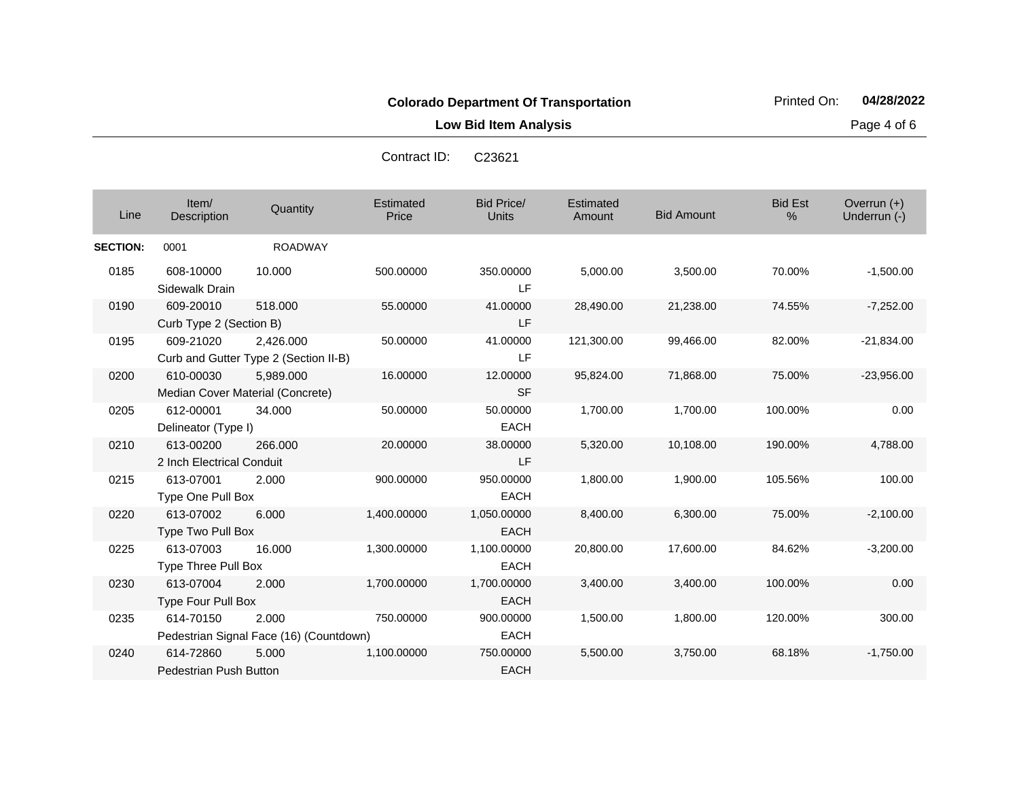**Low Bid Item Analysis Page 4 of 6** 

| C <sub>23621</sub> |
|--------------------|

| Line            | Item/<br>Description                       | Quantity                                           | Estimated<br>Price | <b>Bid Price/</b><br>Units | Estimated<br>Amount | <b>Bid Amount</b> | <b>Bid Est</b><br>% | Overrun $(+)$<br>Underrun (-) |
|-----------------|--------------------------------------------|----------------------------------------------------|--------------------|----------------------------|---------------------|-------------------|---------------------|-------------------------------|
| <b>SECTION:</b> | 0001                                       | <b>ROADWAY</b>                                     |                    |                            |                     |                   |                     |                               |
| 0185            | 608-10000<br>Sidewalk Drain                | 10.000                                             | 500.00000          | 350.00000<br>LF            | 5,000.00            | 3,500.00          | 70.00%              | $-1,500.00$                   |
| 0190            | 609-20010<br>Curb Type 2 (Section B)       | 518,000                                            | 55.00000           | 41.00000<br>LF             | 28,490.00           | 21,238.00         | 74.55%              | $-7,252.00$                   |
| 0195            | 609-21020                                  | 2.426.000<br>Curb and Gutter Type 2 (Section II-B) | 50.00000           | 41.00000<br>LF             | 121,300.00          | 99,466.00         | 82.00%              | $-21,834.00$                  |
| 0200            | 610-00030                                  | 5,989.000<br>Median Cover Material (Concrete)      | 16.00000           | 12.00000<br><b>SF</b>      | 95,824.00           | 71,868.00         | 75.00%              | $-23,956.00$                  |
| 0205            | 612-00001<br>Delineator (Type I)           | 34.000                                             | 50.00000           | 50.00000<br><b>EACH</b>    | 1,700.00            | 1,700.00          | 100.00%             | 0.00                          |
| 0210            | 613-00200<br>2 Inch Electrical Conduit     | 266,000                                            | 20.00000           | 38.00000<br>LF             | 5,320.00            | 10,108.00         | 190.00%             | 4,788.00                      |
| 0215            | 613-07001<br>Type One Pull Box             | 2.000                                              | 900.00000          | 950.00000<br><b>EACH</b>   | 1,800.00            | 1,900.00          | 105.56%             | 100.00                        |
| 0220            | 613-07002<br>Type Two Pull Box             | 6.000                                              | 1,400.00000        | 1,050.00000<br><b>EACH</b> | 8,400.00            | 6,300.00          | 75.00%              | $-2,100.00$                   |
| 0225            | 613-07003<br>Type Three Pull Box           | 16.000                                             | 1,300.00000        | 1,100.00000<br><b>EACH</b> | 20,800.00           | 17,600.00         | 84.62%              | $-3,200.00$                   |
| 0230            | 613-07004<br><b>Type Four Pull Box</b>     | 2.000                                              | 1,700.00000        | 1,700.00000<br><b>EACH</b> | 3,400.00            | 3,400.00          | 100.00%             | 0.00                          |
| 0235            | 614-70150                                  | 2.000<br>Pedestrian Signal Face (16) (Countdown)   | 750.00000          | 900.00000<br><b>EACH</b>   | 1,500.00            | 1,800.00          | 120.00%             | 300.00                        |
| 0240            | 614-72860<br><b>Pedestrian Push Button</b> | 5.000                                              | 1,100.00000        | 750.00000<br><b>EACH</b>   | 5,500.00            | 3,750.00          | 68.18%              | $-1,750.00$                   |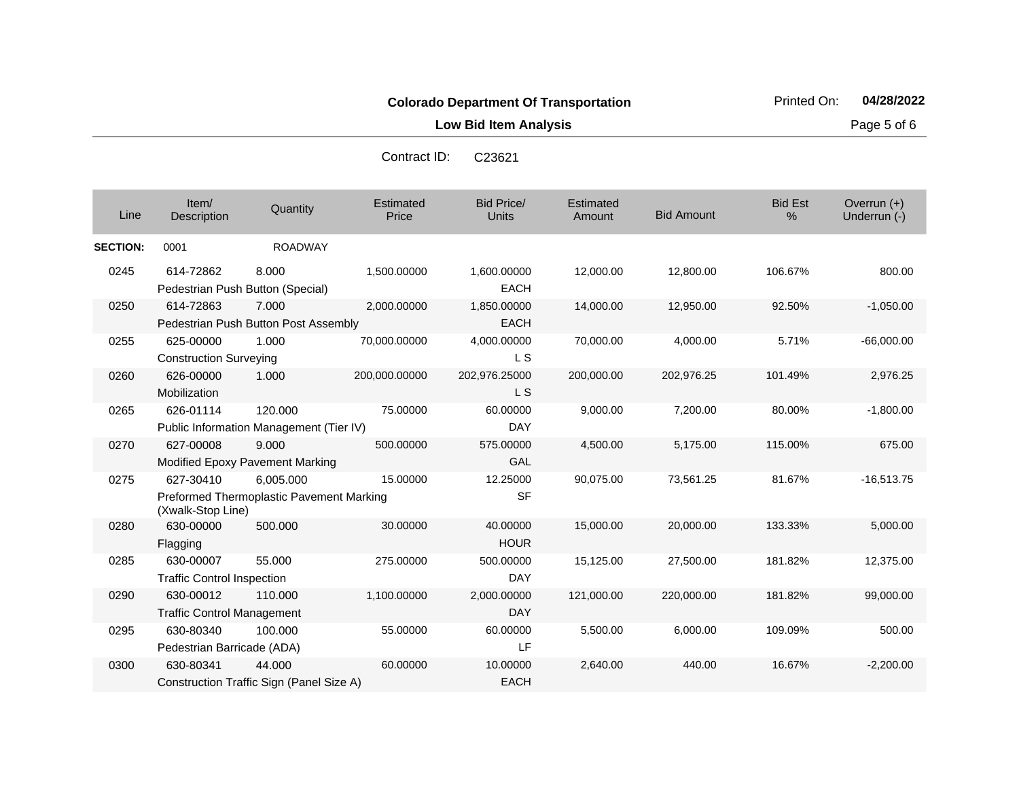**Low Bid Item Analysis Page 5 of 6** 

| Contract ID: | C <sub>23621</sub> |
|--------------|--------------------|
|              |                    |

| Line            | Item/<br>Description                           | Quantity                                              | Estimated<br>Price | <b>Bid Price/</b><br><b>Units</b> | Estimated<br>Amount | <b>Bid Amount</b> | <b>Bid Est</b><br>% | Overrun $(+)$<br>Underrun (-) |
|-----------------|------------------------------------------------|-------------------------------------------------------|--------------------|-----------------------------------|---------------------|-------------------|---------------------|-------------------------------|
| <b>SECTION:</b> | 0001                                           | <b>ROADWAY</b>                                        |                    |                                   |                     |                   |                     |                               |
| 0245            | 614-72862                                      | 8.000<br>Pedestrian Push Button (Special)             | 1,500.00000        | 1,600.00000<br><b>EACH</b>        | 12,000.00           | 12,800.00         | 106.67%             | 800.00                        |
| 0250            | 614-72863                                      | 7.000<br>Pedestrian Push Button Post Assembly         | 2,000.00000        | 1,850.00000<br>EACH               | 14,000.00           | 12,950.00         | 92.50%              | $-1,050.00$                   |
| 0255            | 625-00000<br><b>Construction Surveying</b>     | 1.000                                                 | 70,000.00000       | 4,000.00000<br>L S                | 70,000.00           | 4,000.00          | 5.71%               | $-66,000.00$                  |
| 0260            | 626-00000<br>Mobilization                      | 1.000                                                 | 200,000.00000      | 202,976.25000<br><b>LS</b>        | 200,000.00          | 202,976.25        | 101.49%             | 2,976.25                      |
| 0265            | 626-01114                                      | 120.000<br>Public Information Management (Tier IV)    | 75.00000           | 60.00000<br>DAY                   | 9,000.00            | 7.200.00          | 80.00%              | $-1,800.00$                   |
| 0270            | 627-00008                                      | 9.000<br>Modified Epoxy Pavement Marking              | 500.00000          | 575.00000<br>GAL                  | 4,500.00            | 5,175.00          | 115.00%             | 675.00                        |
| 0275            | 627-30410<br>(Xwalk-Stop Line)                 | 6.005.000<br>Preformed Thermoplastic Pavement Marking | 15.00000           | 12.25000<br><b>SF</b>             | 90,075.00           | 73,561.25         | 81.67%              | $-16,513.75$                  |
| 0280            | 630-00000<br>Flagging                          | 500.000                                               | 30.00000           | 40.00000<br><b>HOUR</b>           | 15,000.00           | 20,000.00         | 133.33%             | 5,000.00                      |
| 0285            | 630-00007<br><b>Traffic Control Inspection</b> | 55.000                                                | 275.00000          | 500.00000<br><b>DAY</b>           | 15,125.00           | 27,500.00         | 181.82%             | 12,375.00                     |
| 0290            | 630-00012<br><b>Traffic Control Management</b> | 110.000                                               | 1,100.00000        | 2,000.00000<br><b>DAY</b>         | 121,000.00          | 220,000.00        | 181.82%             | 99,000.00                     |
| 0295            | 630-80340<br>Pedestrian Barricade (ADA)        | 100.000                                               | 55.00000           | 60.00000<br>LF                    | 5,500.00            | 6,000.00          | 109.09%             | 500.00                        |
| 0300            | 630-80341                                      | 44.000<br>Construction Traffic Sign (Panel Size A)    | 60.00000           | 10.00000<br><b>EACH</b>           | 2,640.00            | 440.00            | 16.67%              | $-2,200.00$                   |